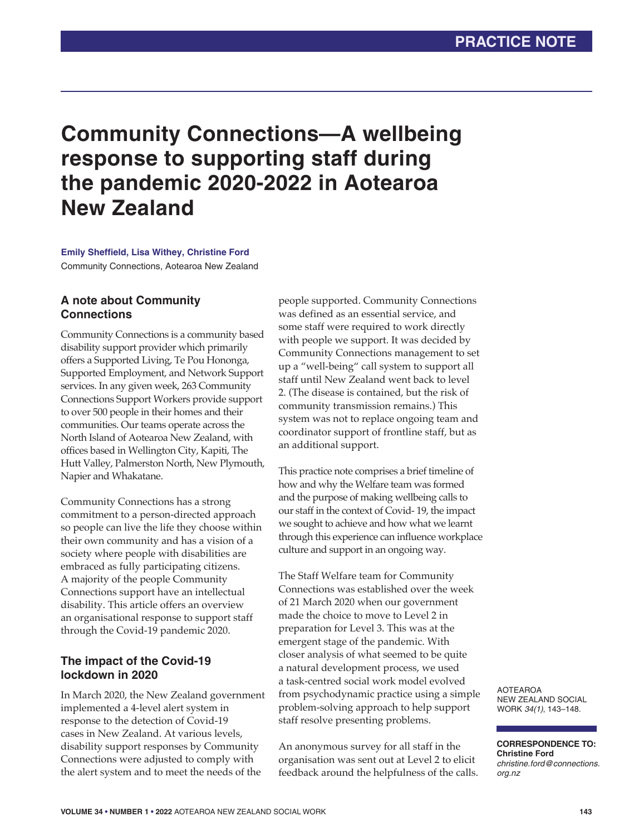# **Community Connections—A wellbeing response to supporting staff during the pandemic 2020-2022 in Aotearoa New Zealand**

#### **Emily Sheffield, Lisa Withey, Christine Ford** Community Connections, Aotearoa New Zealand

# **A note about Community Connections**

Community Connections is a community based disability support provider which primarily offers a Supported Living, Te Pou Hononga, Supported Employment, and Network Support services. In any given week, 263 Community Connections Support Workers provide support to over 500 people in their homes and their communities. Our teams operate across the North Island of Aotearoa New Zealand, with offices based in Wellington City, Kapiti, The Hutt Valley, Palmerston North, New Plymouth, Napier and Whakatane.

Community Connections has a strong commitment to a person-directed approach so people can live the life they choose within their own community and has a vision of a society where people with disabilities are embraced as fully participating citizens. A majority of the people Community Connections support have an intellectual disability. This article offers an overview an organisational response to support staff through the Covid-19 pandemic 2020.

# **The impact of the Covid-19 lockdown in 2020**

In March 2020, the New Zealand government implemented a 4-level alert system in response to the detection of Covid-19 cases in New Zealand. At various levels, disability support responses by Community Connections were adjusted to comply with the alert system and to meet the needs of the

people supported. Community Connections was defined as an essential service, and some staff were required to work directly with people we support. It was decided by Community Connections management to set up a "well-being" call system to support all staff until New Zealand went back to level 2. (The disease is contained, but the risk of community transmission remains.) This system was not to replace ongoing team and coordinator support of frontline staff, but as an additional support.

This practice note comprises a brief timeline of how and why the Welfare team was formed and the purpose of making wellbeing calls to our staff in the context of Covid- 19, the impact we sought to achieve and how what we learnt through this experience can influence workplace culture and support in an ongoing way.

The Staff Welfare team for Community Connections was established over the week of 21 March 2020 when our government made the choice to move to Level 2 in preparation for Level 3. This was at the emergent stage of the pandemic. With closer analysis of what seemed to be quite a natural development process, we used a task-centred social work model evolved from psychodynamic practice using a simple problem-solving approach to help support staff resolve presenting problems.

An anonymous survey for all staff in the organisation was sent out at Level 2 to elicit feedback around the helpfulness of the calls.

AOTEAROA NEW ZEALAND SOCIAL WORK *34(1)*, 143–148.

**CORRESPONDENCE TO: Christine Ford** *christine.ford@connections. org.nz*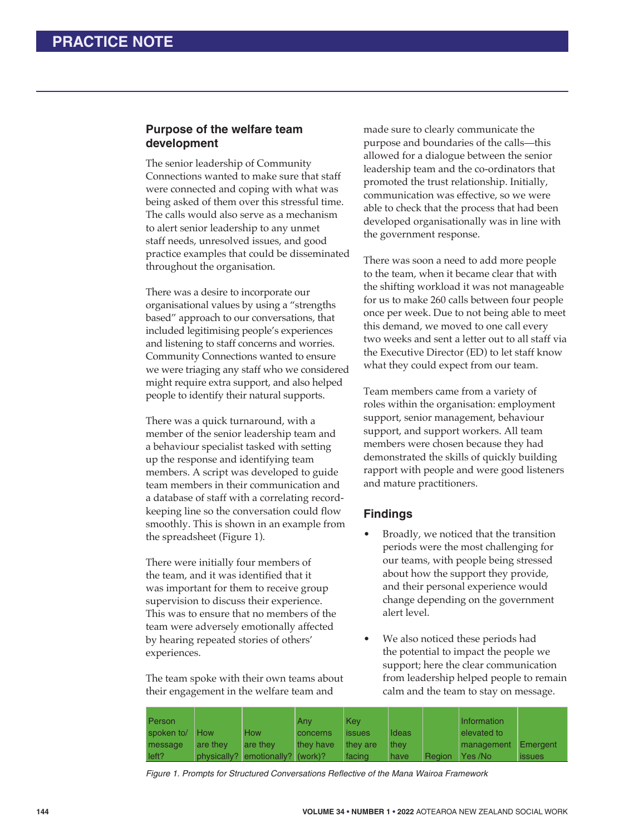### **Purpose of the welfare team development**

The senior leadership of Community Connections wanted to make sure that staff were connected and coping with what was being asked of them over this stressful time. The calls would also serve as a mechanism to alert senior leadership to any unmet staff needs, unresolved issues, and good practice examples that could be disseminated throughout the organisation.

There was a desire to incorporate our organisational values by using a "strengths based" approach to our conversations, that included legitimising people's experiences and listening to staff concerns and worries. Community Connections wanted to ensure we were triaging any staff who we considered might require extra support, and also helped people to identify their natural supports.

There was a quick turnaround, with a member of the senior leadership team and a behaviour specialist tasked with setting up the response and identifying team members. A script was developed to guide team members in their communication and a database of staff with a correlating recordkeeping line so the conversation could flow smoothly. This is shown in an example from the spreadsheet (Figure 1).

There were initially four members of the team, and it was identified that it was important for them to receive group supervision to discuss their experience. This was to ensure that no members of the team were adversely emotionally affected by hearing repeated stories of others' experiences.

The team spoke with their own teams about their engagement in the welfare team and

made sure to clearly communicate the purpose and boundaries of the calls—this allowed for a dialogue between the senior leadership team and the co-ordinators that promoted the trust relationship. Initially, communication was effective, so we were able to check that the process that had been developed organisationally was in line with the government response.

There was soon a need to add more people to the team, when it became clear that with the shifting workload it was not manageable for us to make 260 calls between four people once per week. Due to not being able to meet this demand, we moved to one call every two weeks and sent a letter out to all staff via the Executive Director (ED) to let staff know what they could expect from our team.

Team members came from a variety of roles within the organisation: employment support, senior management, behaviour support, and support workers. All team members were chosen because they had demonstrated the skills of quickly building rapport with people and were good listeners and mature practitioners.

# **Findings**

- Broadly, we noticed that the transition periods were the most challenging for our teams, with people being stressed about how the support they provide, and their personal experience would change depending on the government alert level.
- We also noticed these periods had the potential to impact the people we support; here the clear communication from leadership helped people to remain calm and the team to stay on message.

| Person     |            |                                  | Anv             | Kev           |       |               | Information |               |
|------------|------------|----------------------------------|-----------------|---------------|-------|---------------|-------------|---------------|
| spoken to/ | <b>How</b> | <b>How</b>                       | <b>concerns</b> | <b>issues</b> | Ideas |               | elevated to |               |
| message    | are they   | are they                         | they have       | they are      | they  |               | management  | Emergent      |
| left?      |            | physically? emotionally? (work)? |                 | facing        | have  | <b>Region</b> | I Yes /No   | <b>issues</b> |

*Figure 1. Prompts for Structured Conversations Reflective of the Mana Wairoa Framework*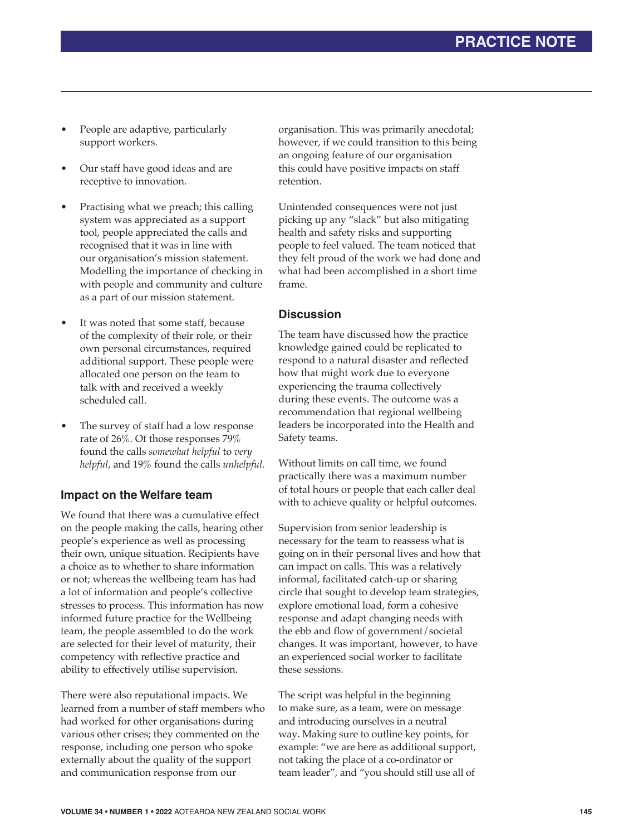- People are adaptive, particularly support workers.
- Our staff have good ideas and are receptive to innovation.
- Practising what we preach; this calling system was appreciated as a support tool, people appreciated the calls and recognised that it was in line with our organisation's mission statement. Modelling the importance of checking in with people and community and culture as a part of our mission statement.
- It was noted that some staff, because of the complexity of their role, or their own personal circumstances, required additional support. These people were allocated one person on the team to talk with and received a weekly scheduled call.
- The survey of staff had a low response rate of 26%. Of those responses 79% found the calls *somewhat helpful* to *very helpful*, and 19% found the calls *unhelpful*.

### **Impact on the Welfare team**

We found that there was a cumulative effect on the people making the calls, hearing other people's experience as well as processing their own, unique situation. Recipients have a choice as to whether to share information or not; whereas the wellbeing team has had a lot of information and people's collective stresses to process. This information has now informed future practice for the Wellbeing team, the people assembled to do the work are selected for their level of maturity, their competency with reflective practice and ability to effectively utilise supervision.

There were also reputational impacts. We learned from a number of staff members who had worked for other organisations during various other crises; they commented on the response, including one person who spoke externally about the quality of the support and communication response from our

organisation. This was primarily anecdotal; however, if we could transition to this being an ongoing feature of our organisation this could have positive impacts on staff retention.

Unintended consequences were not just picking up any "slack" but also mitigating health and safety risks and supporting people to feel valued. The team noticed that they felt proud of the work we had done and what had been accomplished in a short time frame.

### **Discussion**

The team have discussed how the practice knowledge gained could be replicated to respond to a natural disaster and reflected how that might work due to everyone experiencing the trauma collectively during these events. The outcome was a recommendation that regional wellbeing leaders be incorporated into the Health and Safety teams.

Without limits on call time, we found practically there was a maximum number of total hours or people that each caller deal with to achieve quality or helpful outcomes.

Supervision from senior leadership is necessary for the team to reassess what is going on in their personal lives and how that can impact on calls. This was a relatively informal, facilitated catch-up or sharing circle that sought to develop team strategies, explore emotional load, form a cohesive response and adapt changing needs with the ebb and flow of government/societal changes. It was important, however, to have an experienced social worker to facilitate these sessions.

The script was helpful in the beginning to make sure, as a team, were on message and introducing ourselves in a neutral way. Making sure to outline key points, for example: "we are here as additional support, not taking the place of a co-ordinator or team leader", and "you should still use all of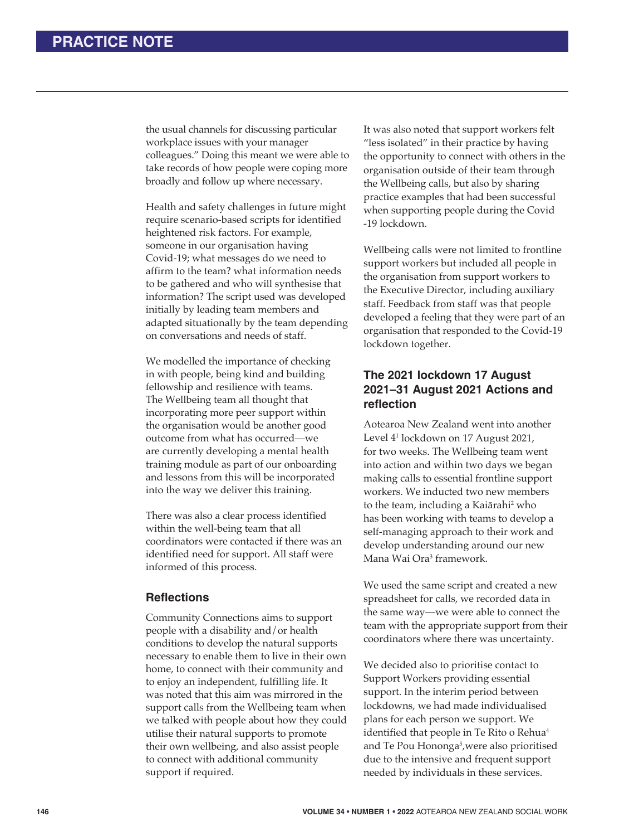the usual channels for discussing particular workplace issues with your manager colleagues." Doing this meant we were able to take records of how people were coping more broadly and follow up where necessary.

Health and safety challenges in future might require scenario-based scripts for identified heightened risk factors. For example, someone in our organisation having Covid-19; what messages do we need to affirm to the team? what information needs to be gathered and who will synthesise that information? The script used was developed initially by leading team members and adapted situationally by the team depending on conversations and needs of staff.

We modelled the importance of checking in with people, being kind and building fellowship and resilience with teams. The Wellbeing team all thought that incorporating more peer support within the organisation would be another good outcome from what has occurred—we are currently developing a mental health training module as part of our onboarding and lessons from this will be incorporated into the way we deliver this training.

There was also a clear process identified within the well-being team that all coordinators were contacted if there was an identified need for support. All staff were informed of this process.

### **Refl ections**

Community Connections aims to support people with a disability and/or health conditions to develop the natural supports necessary to enable them to live in their own home, to connect with their community and to enjoy an independent, fulfilling life. It was noted that this aim was mirrored in the support calls from the Wellbeing team when we talked with people about how they could utilise their natural supports to promote their own wellbeing, and also assist people to connect with additional community support if required.

It was also noted that support workers felt "less isolated" in their practice by having the opportunity to connect with others in the organisation outside of their team through the Wellbeing calls, but also by sharing practice examples that had been successful when supporting people during the Covid -19 lockdown.

Wellbeing calls were not limited to frontline support workers but included all people in the organisation from support workers to the Executive Director, including auxiliary staff. Feedback from staff was that people developed a feeling that they were part of an organisation that responded to the Covid-19 lockdown together.

# **The 2021 lockdown 17 August 2021–31 August 2021 Actions and refl ection**

Aotearoa New Zealand went into another Level 41 lockdown on 17 August 2021, for two weeks. The Wellbeing team went into action and within two days we began making calls to essential frontline support workers. We inducted two new members to the team, including a Kaiārahi<sup>2</sup> who has been working with teams to develop a self-managing approach to their work and develop understanding around our new Mana Wai Ora<sup>3</sup> framework.

We used the same script and created a new spreadsheet for calls, we recorded data in the same way—we were able to connect the team with the appropriate support from their coordinators where there was uncertainty.

We decided also to prioritise contact to Support Workers providing essential support. In the interim period between lockdowns, we had made individualised plans for each person we support. We identified that people in Te Rito o Rehua<sup>4</sup> and Te Pou Hononga<sup>5</sup>, were also prioritised due to the intensive and frequent support needed by individuals in these services.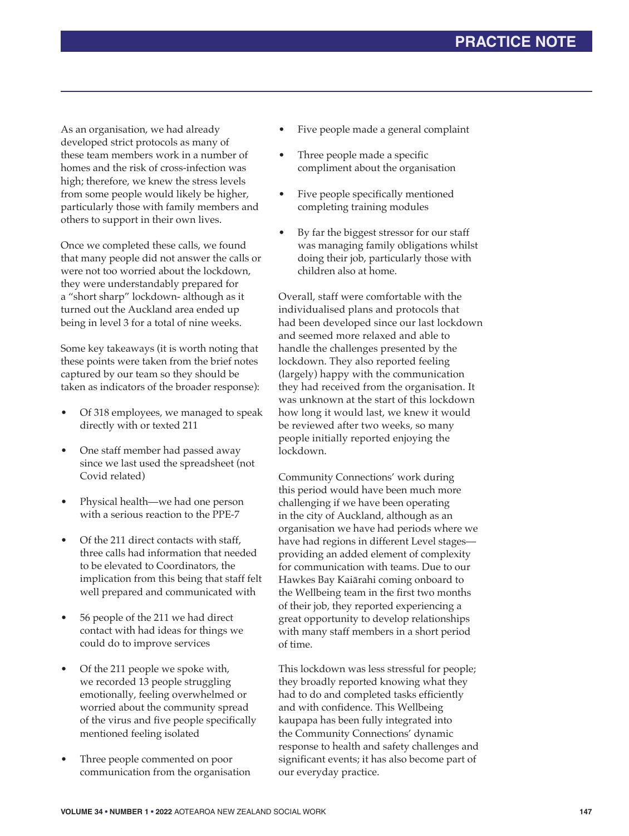As an organisation, we had already developed strict protocols as many of these team members work in a number of homes and the risk of cross-infection was high; therefore, we knew the stress levels from some people would likely be higher, particularly those with family members and others to support in their own lives.

Once we completed these calls, we found that many people did not answer the calls or were not too worried about the lockdown, they were understandably prepared for a "short sharp" lockdown- although as it turned out the Auckland area ended up being in level 3 for a total of nine weeks.

Some key takeaways (it is worth noting that these points were taken from the brief notes captured by our team so they should be taken as indicators of the broader response):

- Of 318 employees, we managed to speak directly with or texted 211
- One staff member had passed away since we last used the spreadsheet (not Covid related)
- Physical health—we had one person with a serious reaction to the PPE-7
- Of the 211 direct contacts with staff. three calls had information that needed to be elevated to Coordinators, the implication from this being that staff felt well prepared and communicated with
- 56 people of the 211 we had direct contact with had ideas for things we could do to improve services
- Of the 211 people we spoke with, we recorded 13 people struggling emotionally, feeling overwhelmed or worried about the community spread of the virus and five people specifically mentioned feeling isolated
- Three people commented on poor communication from the organisation
- Five people made a general complaint
- Three people made a specific compliment about the organisation
- Five people specifically mentioned completing training modules
- By far the biggest stressor for our staff was managing family obligations whilst doing their job, particularly those with children also at home.

Overall, staff were comfortable with the individualised plans and protocols that had been developed since our last lockdown and seemed more relaxed and able to handle the challenges presented by the lockdown. They also reported feeling (largely) happy with the communication they had received from the organisation. It was unknown at the start of this lockdown how long it would last, we knew it would be reviewed after two weeks, so many people initially reported enjoying the lockdown.

Community Connections' work during this period would have been much more challenging if we have been operating in the city of Auckland, although as an organisation we have had periods where we have had regions in different Level stages providing an added element of complexity for communication with teams. Due to our Hawkes Bay Kaiārahi coming onboard to the Wellbeing team in the first two months of their job, they reported experiencing a great opportunity to develop relationships with many staff members in a short period of time.

This lockdown was less stressful for people; they broadly reported knowing what they had to do and completed tasks efficiently and with confidence. This Wellbeing kaupapa has been fully integrated into the Community Connections' dynamic response to health and safety challenges and significant events; it has also become part of our everyday practice.